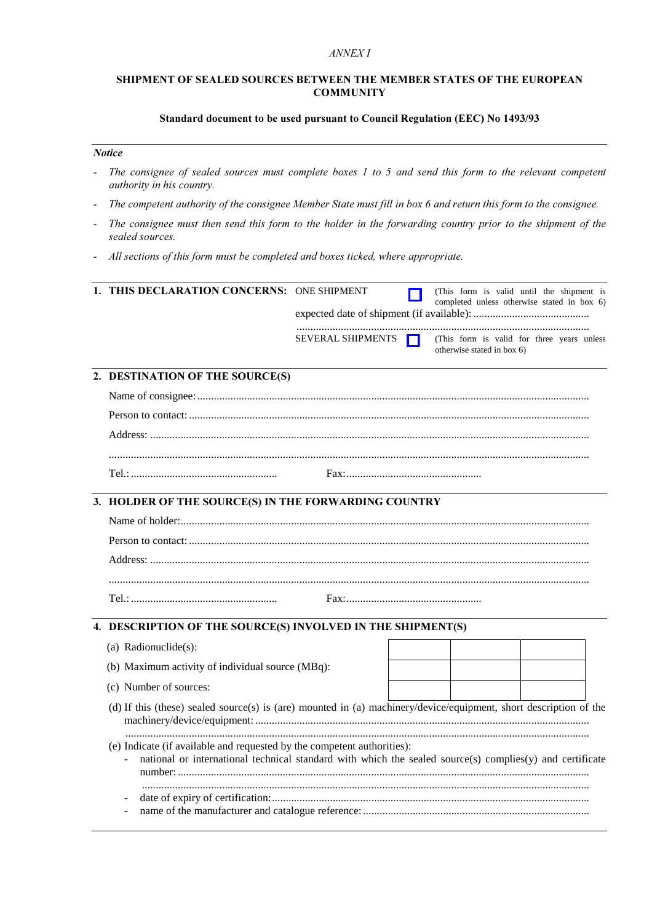#### ANNEX<sub>I</sub>

## SHIPMENT OF SEALED SOURCES BETWEEN THE MEMBER STATES OF THE EUROPEAN **COMMUNITY**

## Standard document to be used pursuant to Council Regulation (EEC) No 1493/93

#### **Notice**

- The consignee of sealed sources must complete boxes 1 to 5 and send this form to the relevant competent  $\overline{a}$ authority in his country.
- The competent authority of the consignee Member State must fill in box 6 and return this form to the consignee.  $\overline{a}$
- The consignee must then send this form to the holder in the forwarding country prior to the shipment of the sealed sources.
- All sections of this form must be completed and boxes ticked, where appropriate.

| 1. THIS DECLARATION CONCERNS: ONE SHIPMENT                                                                        |                   |  | (This form is valid until the shipment is<br>completed unless otherwise stated in box 6)                 |  |  |
|-------------------------------------------------------------------------------------------------------------------|-------------------|--|----------------------------------------------------------------------------------------------------------|--|--|
|                                                                                                                   |                   |  |                                                                                                          |  |  |
|                                                                                                                   | SEVERAL SHIPMENTS |  | (This form is valid for three years unless<br>otherwise stated in box 6)                                 |  |  |
| 2. DESTINATION OF THE SOURCE(S)                                                                                   |                   |  |                                                                                                          |  |  |
|                                                                                                                   |                   |  |                                                                                                          |  |  |
|                                                                                                                   |                   |  |                                                                                                          |  |  |
|                                                                                                                   |                   |  |                                                                                                          |  |  |
|                                                                                                                   |                   |  |                                                                                                          |  |  |
|                                                                                                                   |                   |  |                                                                                                          |  |  |
| 3. HOLDER OF THE SOURCE(S) IN THE FORWARDING COUNTRY                                                              |                   |  |                                                                                                          |  |  |
|                                                                                                                   |                   |  |                                                                                                          |  |  |
|                                                                                                                   |                   |  |                                                                                                          |  |  |
|                                                                                                                   |                   |  |                                                                                                          |  |  |
|                                                                                                                   |                   |  |                                                                                                          |  |  |
|                                                                                                                   |                   |  |                                                                                                          |  |  |
| 4. DESCRIPTION OF THE SOURCE(S) INVOLVED IN THE SHIPMENT(S)                                                       |                   |  |                                                                                                          |  |  |
| (a) Radionuclide(s):                                                                                              |                   |  |                                                                                                          |  |  |
| (b) Maximum activity of individual source (MBq):                                                                  |                   |  |                                                                                                          |  |  |
| (c) Number of sources:                                                                                            |                   |  |                                                                                                          |  |  |
| (d) If this (these) sealed source(s) is (are) mounted in (a) machinery/device/equipment, short description of the |                   |  |                                                                                                          |  |  |
| (e) Indicate (if available and requested by the competent authorities):                                           |                   |  | national or international technical standard with which the sealed source(s) complies(y) and certificate |  |  |
|                                                                                                                   |                   |  |                                                                                                          |  |  |